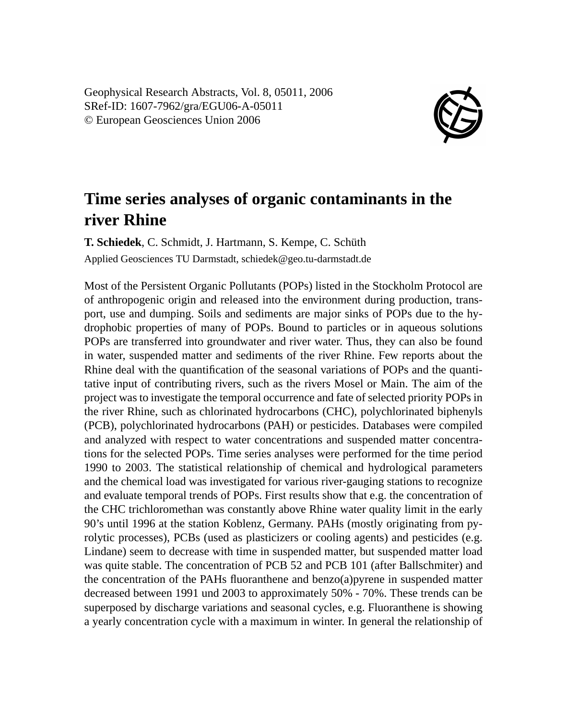Geophysical Research Abstracts, Vol. 8, 05011, 2006 SRef-ID: 1607-7962/gra/EGU06-A-05011 © European Geosciences Union 2006



## **Time series analyses of organic contaminants in the river Rhine**

**T. Schiedek**, C. Schmidt, J. Hartmann, S. Kempe, C. Schüth Applied Geosciences TU Darmstadt, schiedek@geo.tu-darmstadt.de

Most of the Persistent Organic Pollutants (POPs) listed in the Stockholm Protocol are of anthropogenic origin and released into the environment during production, transport, use and dumping. Soils and sediments are major sinks of POPs due to the hydrophobic properties of many of POPs. Bound to particles or in aqueous solutions POPs are transferred into groundwater and river water. Thus, they can also be found in water, suspended matter and sediments of the river Rhine. Few reports about the Rhine deal with the quantification of the seasonal variations of POPs and the quantitative input of contributing rivers, such as the rivers Mosel or Main. The aim of the project was to investigate the temporal occurrence and fate of selected priority POPs in the river Rhine, such as chlorinated hydrocarbons (CHC), polychlorinated biphenyls (PCB), polychlorinated hydrocarbons (PAH) or pesticides. Databases were compiled and analyzed with respect to water concentrations and suspended matter concentrations for the selected POPs. Time series analyses were performed for the time period 1990 to 2003. The statistical relationship of chemical and hydrological parameters and the chemical load was investigated for various river-gauging stations to recognize and evaluate temporal trends of POPs. First results show that e.g. the concentration of the CHC trichloromethan was constantly above Rhine water quality limit in the early 90's until 1996 at the station Koblenz, Germany. PAHs (mostly originating from pyrolytic processes), PCBs (used as plasticizers or cooling agents) and pesticides (e.g. Lindane) seem to decrease with time in suspended matter, but suspended matter load was quite stable. The concentration of PCB 52 and PCB 101 (after Ballschmiter) and the concentration of the PAHs fluoranthene and benzo $(a)$  pyrene in suspended matter decreased between 1991 und 2003 to approximately 50% - 70%. These trends can be superposed by discharge variations and seasonal cycles, e.g. Fluoranthene is showing a yearly concentration cycle with a maximum in winter. In general the relationship of